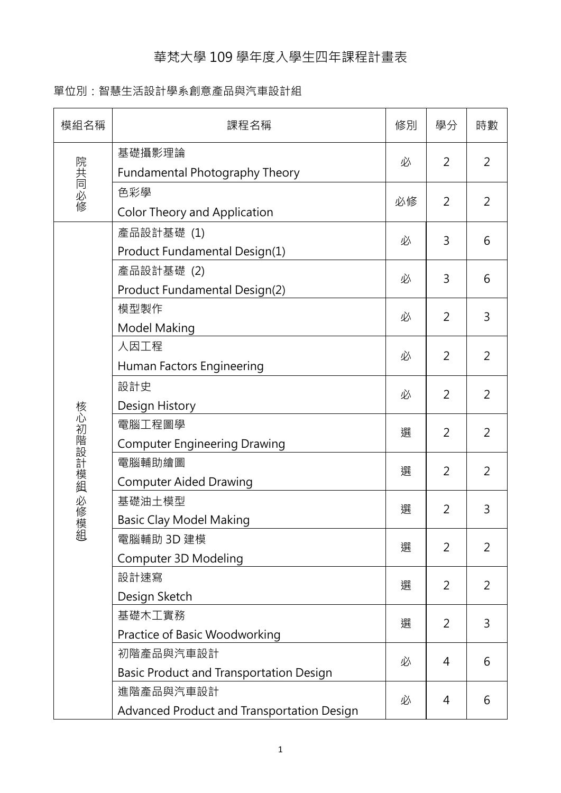## 華梵大學 109 學年度入學生四年課程計畫表

## 單位別:智慧生活設計學系創意產品與汽車設計組

| 模組名稱         | 課程名稱                                       | 修別 | 學分             | 時數             |
|--------------|--------------------------------------------|----|----------------|----------------|
|              | 基礎攝影理論                                     | 必  | 2              | $\overline{2}$ |
| 院共同必修        | Fundamental Photography Theory             |    |                |                |
|              | 色彩學                                        | 必修 | 2              | $\overline{2}$ |
|              | <b>Color Theory and Application</b>        |    |                |                |
|              | 產品設計基礎 (1)                                 | 必  | 3              | 6              |
|              | Product Fundamental Design(1)              |    |                |                |
|              | 產品設計基礎 (2)                                 | 必  | 3              | 6              |
|              | Product Fundamental Design(2)              |    |                |                |
|              | 模型製作                                       | 必  | 2              | 3              |
|              | Model Making                               |    |                |                |
|              | 人因工程                                       |    | 2              | $\overline{2}$ |
|              | Human Factors Engineering                  | 必  |                |                |
|              | 設計史                                        | 必  | 2              | $\overline{2}$ |
|              | Design History                             |    |                |                |
| 核心初階設計模組 必修模 | 電腦工程圖學                                     | 選  | 2              | $\overline{2}$ |
|              | <b>Computer Engineering Drawing</b>        |    |                |                |
|              | 電腦輔助繪圖                                     | 選  | 2              | 2              |
|              | <b>Computer Aided Drawing</b>              |    |                |                |
|              | 基礎油土模型                                     | 選  | 2              | 3              |
|              | <b>Basic Clay Model Making</b>             |    |                |                |
| 組            | 電腦輔助 3D 建模                                 | 選  | 2              | 2              |
|              | Computer 3D Modeling                       |    |                |                |
|              | 設計速寫                                       | 選  | 2              | 2              |
|              | Design Sketch                              |    |                |                |
|              | 基礎木工實務                                     | 選  | 2              | 3              |
|              | Practice of Basic Woodworking              |    |                |                |
|              | 初階產品與汽車設計                                  | 必  | $\overline{4}$ | 6              |
|              | Basic Product and Transportation Design    |    |                |                |
|              | 進階產品與汽車設計                                  | 必  | 4              | 6              |
|              | Advanced Product and Transportation Design |    |                |                |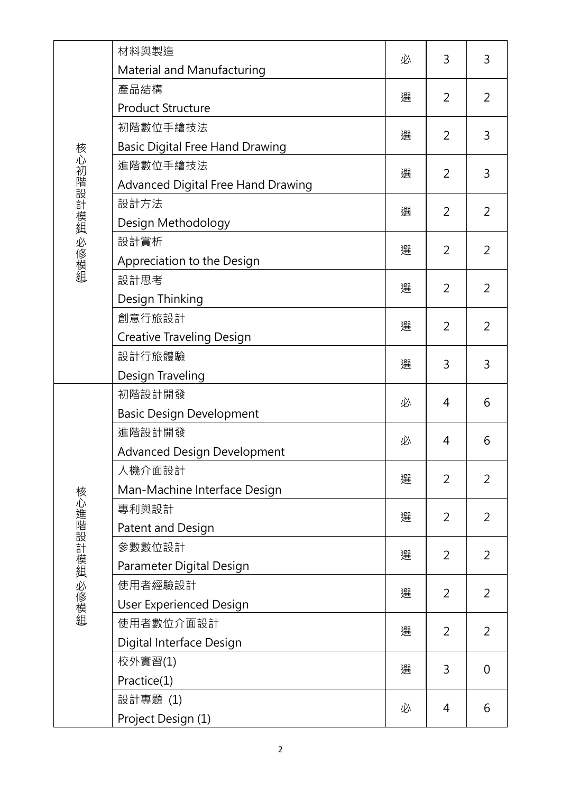|               | 材料與製造                                  | 必 | 3              | 3              |
|---------------|----------------------------------------|---|----------------|----------------|
|               | Material and Manufacturing             |   |                |                |
|               | 產品結構                                   | 選 | 2              | 2              |
|               | <b>Product Structure</b>               |   |                |                |
|               | 初階數位手繪技法                               | 選 | $\overline{2}$ | 3              |
|               | <b>Basic Digital Free Hand Drawing</b> |   |                |                |
|               | 進階數位手繪技法                               | 選 | 2              | 3              |
| 核心初階設計模組 必修模組 | Advanced Digital Free Hand Drawing     |   |                |                |
|               | 設計方法                                   | 選 | 2              | $\overline{2}$ |
|               | Design Methodology                     |   |                |                |
|               | 設計賞析                                   | 選 | 2              | $\overline{2}$ |
|               | Appreciation to the Design             |   |                |                |
|               | 設計思考                                   | 選 | 2              | $\overline{2}$ |
|               | Design Thinking                        |   |                |                |
|               | 創意行旅設計                                 | 選 | 2              | $\overline{2}$ |
|               | <b>Creative Traveling Design</b>       |   |                |                |
|               | 設計行旅體驗                                 | 選 | 3              | 3              |
|               | Design Traveling                       |   |                |                |
|               | 初階設計開發                                 | 必 | 4              | 6              |
|               | <b>Basic Design Development</b>        |   |                |                |
|               | 進階設計開發                                 | 必 | 4              | 6              |
|               | <b>Advanced Design Development</b>     |   |                |                |
|               | 人機介面設計                                 | 選 | 2              | $\overline{2}$ |
|               | Man-Machine Interface Design           |   |                |                |
|               | 專利與設計                                  | 選 | $\overline{2}$ | 2              |
|               | Patent and Design                      |   |                |                |
|               | 參數數位設計                                 | 選 | 2              | 2              |
| 核心進階設計模組 必修模組 | Parameter Digital Design               |   |                |                |
|               | 使用者經驗設計                                | 選 | $\overline{2}$ | $\overline{2}$ |
|               | <b>User Experienced Design</b>         |   |                |                |
|               | 使用者數位介面設計                              | 選 | 2              | 2              |
|               | Digital Interface Design               |   |                |                |
|               | 校外實習(1)                                | 選 | 3              | $\overline{0}$ |
|               | Practice(1)                            |   |                |                |
|               | 設計專題 (1)                               | 必 | 4              | 6              |
|               | Project Design (1)                     |   |                |                |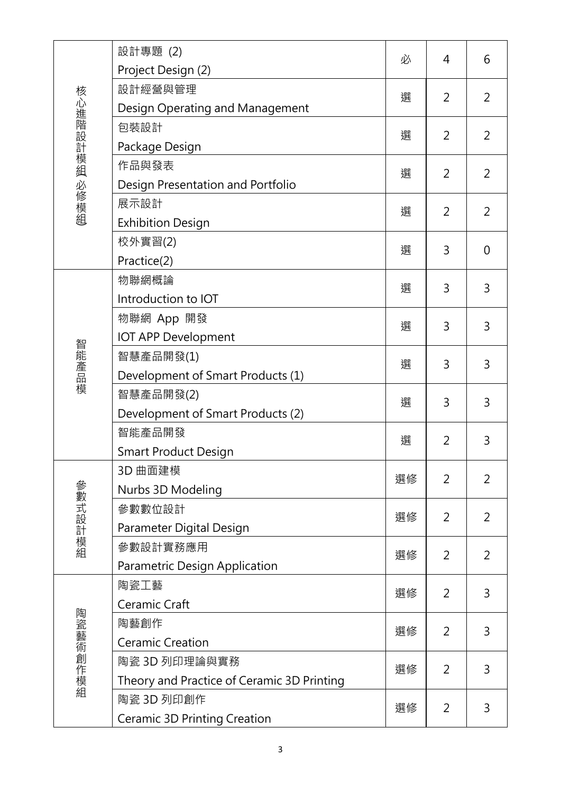|               | 設計專題 (2)                                   | 必  | 4              | 6              |
|---------------|--------------------------------------------|----|----------------|----------------|
|               | Project Design (2)                         | 選  | $\overline{2}$ | 2              |
|               | 設計經營與管理                                    |    |                |                |
|               | Design Operating and Management            |    |                |                |
|               | 包裝設計                                       | 選  | 2              | $\overline{2}$ |
| 核心進階設計模組 必修模組 | Package Design                             |    |                |                |
|               | 作品與發表                                      | 選  | $\overline{2}$ | $\overline{2}$ |
|               | Design Presentation and Portfolio          |    |                |                |
|               | 展示設計                                       | 選  | 2              | 2              |
|               | <b>Exhibition Design</b>                   |    |                |                |
|               | 校外實習(2)                                    | 選  | 3              | $\Omega$       |
|               | Practice(2)                                |    |                |                |
|               | 物聯網概論                                      | 選  | 3              | 3              |
|               | Introduction to IOT                        |    |                |                |
|               | 物聯網 App 開發                                 | 選  | 3              | 3              |
|               | <b>IOT APP Development</b>                 |    |                |                |
| 智能產品模         | 智慧產品開發(1)                                  | 選  | 3              | 3              |
|               | Development of Smart Products (1)          |    |                |                |
|               | 智慧產品開發(2)                                  | 選  | 3              | 3              |
|               | Development of Smart Products (2)          |    |                |                |
|               | 智能產品開發                                     | 選  | 2              | 3              |
|               | <b>Smart Product Design</b>                |    |                |                |
|               | 3D 曲面建模                                    | 選修 | 2              | $\overline{2}$ |
|               | Nurbs 3D Modeling                          |    |                |                |
| 參數式設計模組       | 參數數位設計                                     | 選修 | 2              | 2              |
|               | Parameter Digital Design                   |    |                |                |
|               | 參數設計實務應用                                   | 選修 | 2              | 2              |
|               | Parametric Design Application              |    |                |                |
|               | 陶瓷工藝                                       | 選修 | 2              | 3              |
| 陶瓷藝術創作模組      | Ceramic Craft                              |    |                |                |
|               | 陶藝創作                                       | 選修 | 2              | 3              |
|               | <b>Ceramic Creation</b>                    |    |                |                |
|               | 陶瓷 3D 列印理論與實務                              | 選修 | 2              | 3              |
|               | Theory and Practice of Ceramic 3D Printing |    |                |                |
|               | 陶瓷 3D 列印創作                                 | 選修 | 2              | 3              |
|               | <b>Ceramic 3D Printing Creation</b>        |    |                |                |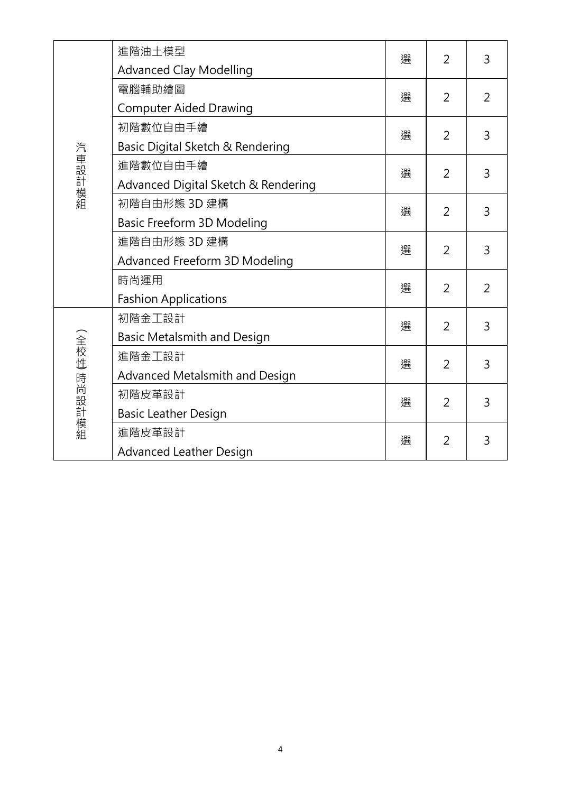| 汽車設計模組      | 進階油土模型<br><b>Advanced Clay Modelling</b>        | 選 | 2              | 3              |
|-------------|-------------------------------------------------|---|----------------|----------------|
|             | 電腦輔助繪圖<br><b>Computer Aided Drawing</b>         | 選 | 2              | $\overline{2}$ |
|             | 初階數位自由手繪<br>Basic Digital Sketch & Rendering    | 撰 | $\overline{2}$ | 3              |
|             | 進階數位自由手繪<br>Advanced Digital Sketch & Rendering | 選 | 2              | 3              |
|             | 初階自由形態 3D 建構<br>Basic Freeform 3D Modeling      | 撰 | $\overline{2}$ | 3              |
|             | 進階自由形態 3D 建構<br>Advanced Freeform 3D Modeling   | 選 | $\overline{2}$ | 3              |
|             | 時尚運用<br><b>Fashion Applications</b>             | 選 | 2              | $\overline{2}$ |
| (全校性)時尚設計模組 | 初階金工設計<br><b>Basic Metalsmith and Design</b>    | 選 | $\overline{2}$ | 3              |
|             | 進階金工設計<br>Advanced Metalsmith and Design        | 選 | $\overline{2}$ | 3              |
|             | 初階皮革設計<br><b>Basic Leather Design</b>           | 撰 | $\overline{2}$ | 3              |
|             | 進階皮革設計<br><b>Advanced Leather Design</b>        | 撰 | $\overline{2}$ | 3              |